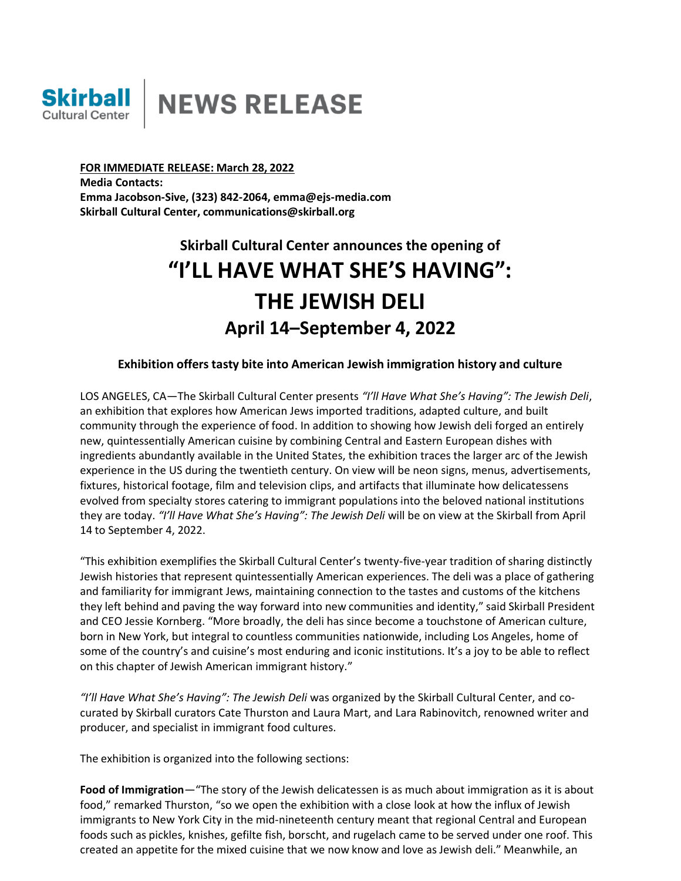

**FOR IMMEDIATE RELEASE: March 28, 2022 Media Contacts: Emma Jacobson-Sive, (323) 842-2064, [emma@ejs-media.com](mailto:emma@ejs-media.com) Skirball Cultural Center, [communications@skirball.org](mailto:communications@skirball.org)**

# **Skirball Cultural Center announces the opening of "I'LL HAVE WHAT SHE'S HAVING": THE JEWISH DELI April 14–September 4, 2022**

## **Exhibition offers tasty bite into American Jewish immigration history and culture**

LOS ANGELES, CA—The Skirball Cultural Center presents *"I'll Have What She's Having": The Jewish Deli*, an exhibition that explores how American Jews imported traditions, adapted culture, and built community through the experience of food. In addition to showing how Jewish deli forged an entirely new, quintessentially American cuisine by combining Central and Eastern European dishes with ingredients abundantly available in the United States, the exhibition traces the larger arc of the Jewish experience in the US during the twentieth century. On view will be neon signs, menus, advertisements, fixtures, historical footage, film and television clips, and artifacts that illuminate how delicatessens evolved from specialty stores catering to immigrant populations into the beloved national institutions they are today. *"I'll Have What She's Having": The Jewish Deli* will be on view at the Skirball from April 14 to September 4, 2022.

"This exhibition exemplifies the Skirball Cultural Center's twenty-five-year tradition of sharing distinctly Jewish histories that represent quintessentially American experiences. The deli was a place of gathering and familiarity for immigrant Jews, maintaining connection to the tastes and customs of the kitchens they left behind and paving the way forward into new communities and identity," said Skirball President and CEO Jessie Kornberg. "More broadly, the deli has since become a touchstone of American culture, born in New York, but integral to countless communities nationwide, including Los Angeles, home of some of the country's and cuisine's most enduring and iconic institutions. It's a joy to be able to reflect on this chapter of Jewish American immigrant history."

*"I'll Have What She's Having": The Jewish Deli* was organized by the Skirball Cultural Center, and cocurated by Skirball curators Cate Thurston and Laura Mart, and Lara Rabinovitch, renowned writer and producer, and specialist in immigrant food cultures.

The exhibition is organized into the following sections:

**Food of Immigration**—"The story of the Jewish delicatessen is as much about immigration as it is about food," remarked Thurston, "so we open the exhibition with a close look at how the influx of Jewish immigrants to New York City in the mid-nineteenth century meant that regional Central and European foods such as pickles, knishes, gefilte fish, borscht, and rugelach came to be served under one roof. This created an appetite for the mixed cuisine that we now know and love as Jewish deli." Meanwhile, an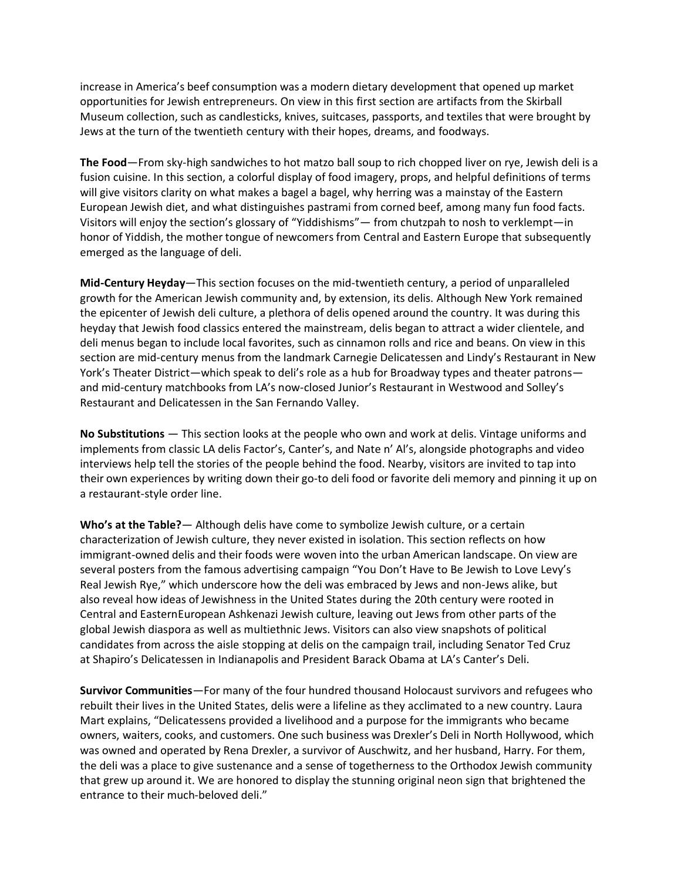increase in America's beef consumption was a modern dietary development that opened up market opportunities for Jewish entrepreneurs. On view in this first section are artifacts from the Skirball Museum collection, such as candlesticks, knives, suitcases, passports, and textiles that were brought by Jews at the turn of the twentieth century with their hopes, dreams, and foodways.

**The Food**—From sky-high sandwiches to hot matzo ball soup to rich chopped liver on rye, Jewish deli is a fusion cuisine. In this section, a colorful display of food imagery, props, and helpful definitions of terms will give visitors clarity on what makes a bagel a bagel, why herring was a mainstay of the Eastern European Jewish diet, and what distinguishes pastrami from corned beef, among many fun food facts. Visitors will enjoy the section's glossary of "Yiddishisms"— from chutzpah to nosh to verklempt—in honor of Yiddish, the mother tongue of newcomers from Central and Eastern Europe that subsequently emerged as the language of deli.

**Mid-Century Heyday**—This section focuses on the mid-twentieth century, a period of unparalleled growth for the American Jewish community and, by extension, its delis. Although New York remained the epicenter of Jewish deli culture, a plethora of delis opened around the country. It was during this heyday that Jewish food classics entered the mainstream, delis began to attract a wider clientele, and deli menus began to include local favorites, such as cinnamon rolls and rice and beans. On view in this section are mid-century menus from the landmark Carnegie Delicatessen and Lindy's Restaurant in New York's Theater District—which speak to deli's role as a hub for Broadway types and theater patrons and mid-century matchbooks from LA's now-closed Junior's Restaurant in Westwood and Solley's Restaurant and Delicatessen in the San Fernando Valley.

**No Substitutions** — This section looks at the people who own and work at delis. Vintage uniforms and implements from classic LA delis Factor's, Canter's, and Nate n' Al's, alongside photographs and video interviews help tell the stories of the people behind the food. Nearby, visitors are invited to tap into their own experiences by writing down their go-to deli food or favorite deli memory and pinning it up on a restaurant-style order line.

**Who's at the Table?**— Although delis have come to symbolize Jewish culture, or a certain characterization of Jewish culture, they never existed in isolation. This section reflects on how immigrant-owned delis and their foods were woven into the urban American landscape. On view are several posters from the famous advertising campaign "You Don't Have to Be Jewish to Love Levy's Real Jewish Rye," which underscore how the deli was embraced by Jews and non-Jews alike, but also reveal how ideas of Jewishness in the United States during the 20th century were rooted in Central and EasternEuropean Ashkenazi Jewish culture, leaving out Jews from other parts of the global Jewish diaspora as well as multiethnic Jews. Visitors can also view snapshots of political candidates from across the aisle stopping at delis on the campaign trail, including Senator Ted Cruz at Shapiro's Delicatessen in Indianapolis and President Barack Obama at LA's Canter's Deli.

**Survivor Communities**—For many of the four hundred thousand Holocaust survivors and refugees who rebuilt their lives in the United States, delis were a lifeline as they acclimated to a new country. Laura Mart explains, "Delicatessens provided a livelihood and a purpose for the immigrants who became owners, waiters, cooks, and customers. One such business was Drexler's Deli in North Hollywood, which was owned and operated by Rena Drexler, a survivor of Auschwitz, and her husband, Harry. For them, the deli was a place to give sustenance and a sense of togetherness to the Orthodox Jewish community that grew up around it. We are honored to display the stunning original neon sign that brightened the entrance to their much-beloved deli."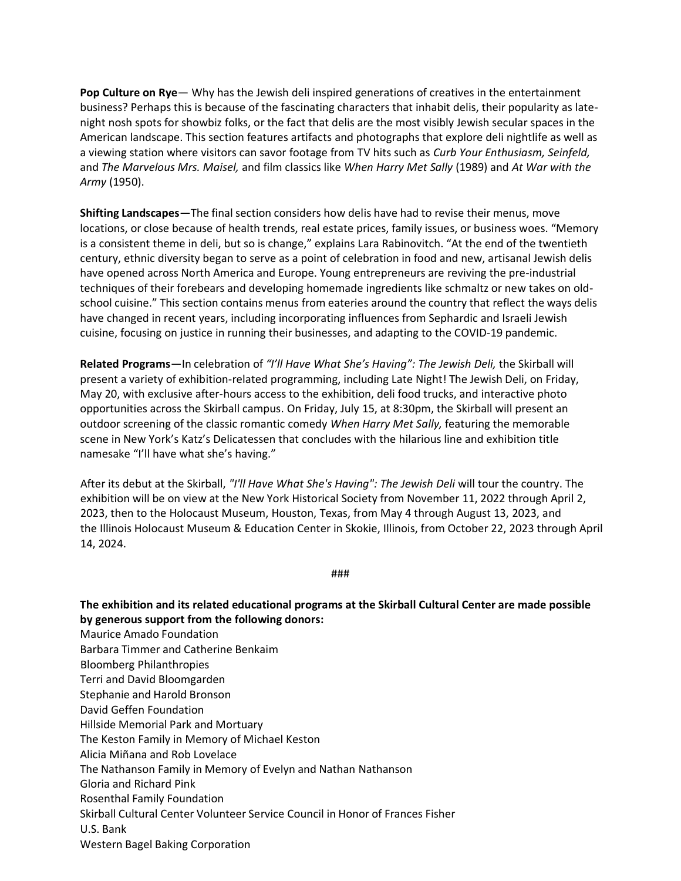**Pop Culture on Rye**— Why has the Jewish deli inspired generations of creatives in the entertainment business? Perhaps this is because of the fascinating characters that inhabit delis, their popularity as latenight nosh spots for showbiz folks, or the fact that delis are the most visibly Jewish secular spaces in the American landscape. This section features artifacts and photographs that explore deli nightlife as well as a viewing station where visitors can savor footage from TV hits such as *Curb Your Enthusiasm, Seinfeld,* and *The Marvelous Mrs. Maisel,* and film classics like *When Harry Met Sally* (1989) and *At War with the Army* (1950).

**Shifting Landscapes**—The final section considers how delis have had to revise their menus, move locations, or close because of health trends, real estate prices, family issues, or business woes. "Memory is a consistent theme in deli, but so is change," explains Lara Rabinovitch. "At the end of the twentieth century, ethnic diversity began to serve as a point of celebration in food and new, artisanal Jewish delis have opened across North America and Europe. Young entrepreneurs are reviving the pre-industrial techniques of their forebears and developing homemade ingredients like schmaltz or new takes on oldschool cuisine." This section contains menus from eateries around the country that reflect the ways delis have changed in recent years, including incorporating influences from Sephardic and Israeli Jewish cuisine, focusing on justice in running their businesses, and adapting to the COVID-19 pandemic.

**Related Programs**—In celebration of *"I'll Have What She's Having": The Jewish Deli,* the Skirball will present a variety of exhibition-related programming, including Late Night! The Jewish Deli, on Friday, May 20, with exclusive after-hours access to the exhibition, deli food trucks, and interactive photo opportunities across the Skirball campus. On Friday, July 15, at 8:30pm, the Skirball will present an outdoor screening of the classic romantic comedy *When Harry Met Sally,* featuring the memorable scene in New York's Katz's Delicatessen that concludes with the hilarious line and exhibition title namesake "I'll have what she's having."

After its debut at the Skirball, *"I'll Have What She's Having": The Jewish Deli* will tour the country. The exhibition will be on view at the New York Historical Society from November 11, 2022 through April 2, 2023, then to the Holocaust Museum, Houston, Texas, from May 4 through August 13, 2023, and the Illinois Holocaust Museum & Education Center in Skokie, Illinois, from October 22, 2023 through April 14, 2024.

###

**The exhibition and its related educational programs at the Skirball Cultural Center are made possible by generous support from the following donors:**

Barbara Timmer and Catherine Benkaim Bloomberg Philanthropies Terri and David Bloomgarden Stephanie and Harold Bronson David Geffen Foundation Hillside Memorial Park and Mortuary The Keston Family in Memory of Michael Keston Alicia Miñana and Rob Lovelace The Nathanson Family in Memory of Evelyn and Nathan Nathanson Gloria and Richard Pink Rosenthal Family Foundation Skirball Cultural Center Volunteer Service Council in Honor of Frances Fisher U.S. Bank Western Bagel Baking Corporation

Maurice Amado Foundation